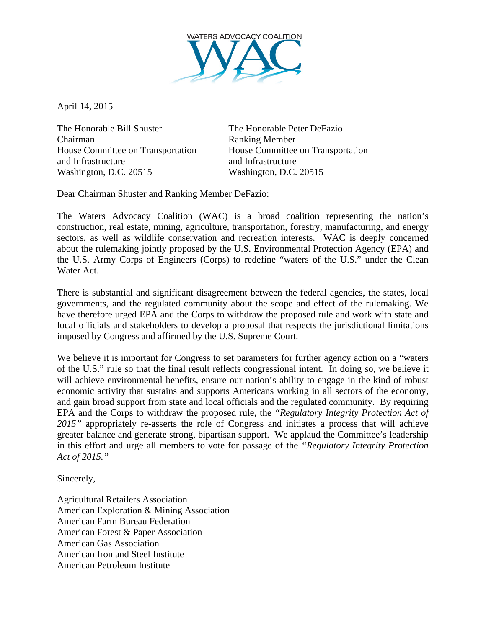

April 14, 2015

The Honorable Bill Shuster The Honorable Peter DeFazio Chairman Ranking Member House Committee on Transportation House Committee on Transportation and Infrastructure and Infrastructure Washington, D.C. 20515 Washington, D.C. 20515

Dear Chairman Shuster and Ranking Member DeFazio:

The Waters Advocacy Coalition (WAC) is a broad coalition representing the nation's construction, real estate, mining, agriculture, transportation, forestry, manufacturing, and energy sectors, as well as wildlife conservation and recreation interests. WAC is deeply concerned about the rulemaking jointly proposed by the U.S. Environmental Protection Agency (EPA) and the U.S. Army Corps of Engineers (Corps) to redefine "waters of the U.S." under the Clean Water Act.

There is substantial and significant disagreement between the federal agencies, the states, local governments, and the regulated community about the scope and effect of the rulemaking. We have therefore urged EPA and the Corps to withdraw the proposed rule and work with state and local officials and stakeholders to develop a proposal that respects the jurisdictional limitations imposed by Congress and affirmed by the U.S. Supreme Court.

We believe it is important for Congress to set parameters for further agency action on a "waters" of the U.S." rule so that the final result reflects congressional intent. In doing so, we believe it will achieve environmental benefits, ensure our nation's ability to engage in the kind of robust economic activity that sustains and supports Americans working in all sectors of the economy, and gain broad support from state and local officials and the regulated community. By requiring EPA and the Corps to withdraw the proposed rule, the *"Regulatory Integrity Protection Act of 2015"* appropriately re-asserts the role of Congress and initiates a process that will achieve greater balance and generate strong, bipartisan support. We applaud the Committee's leadership in this effort and urge all members to vote for passage of the *"Regulatory Integrity Protection Act of 2015."*

Sincerely,

Agricultural Retailers Association American Exploration & Mining Association American Farm Bureau Federation American Forest & Paper Association American Gas Association American Iron and Steel Institute American Petroleum Institute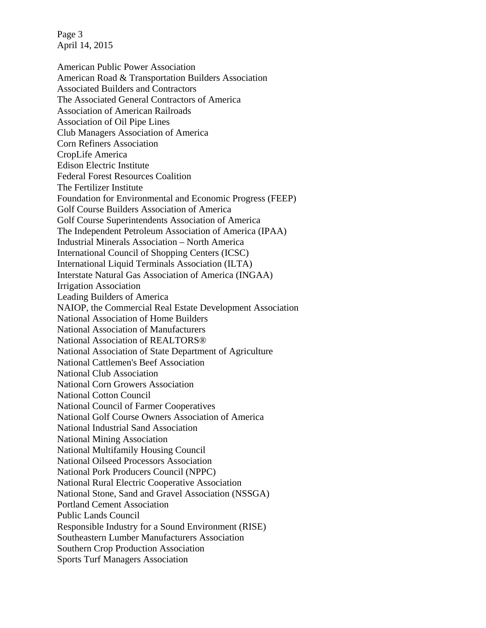Page 3 April 14, 2015

American Public Power Association American Road & Transportation Builders Association Associated Builders and Contractors The Associated General Contractors of America Association of American Railroads Association of Oil Pipe Lines Club Managers Association of America Corn Refiners Association CropLife America Edison Electric Institute Federal Forest Resources Coalition The Fertilizer Institute Foundation for Environmental and Economic Progress (FEEP) Golf Course Builders Association of America Golf Course Superintendents Association of America The Independent Petroleum Association of America (IPAA) Industrial Minerals Association – North America International Council of Shopping Centers (ICSC) International Liquid Terminals Association (ILTA) Interstate Natural Gas Association of America (INGAA) Irrigation Association Leading Builders of America NAIOP, the Commercial Real Estate Development Association National Association of Home Builders National Association of Manufacturers National Association of REALTORS® National Association of State Department of Agriculture National Cattlemen's Beef Association National Club Association National Corn Growers Association National Cotton Council National Council of Farmer Cooperatives National Golf Course Owners Association of America National Industrial Sand Association National Mining Association National Multifamily Housing Council National Oilseed Processors Association National Pork Producers Council (NPPC) National Rural Electric Cooperative Association National Stone, Sand and Gravel Association (NSSGA) Portland Cement Association Public Lands Council Responsible Industry for a Sound Environment (RISE) Southeastern Lumber Manufacturers Association Southern Crop Production Association Sports Turf Managers Association